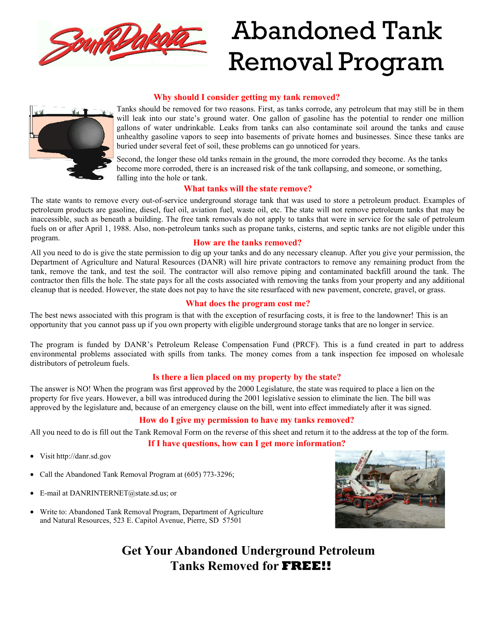

# Abandoned Tank Removal Program

### **Why should I consider getting my tank removed?**



Tanks should be removed for two reasons. First, as tanks corrode, any petroleum that may still be in them will leak into our state's ground water. One gallon of gasoline has the potential to render one million gallons of water undrinkable. Leaks from tanks can also contaminate soil around the tanks and cause unhealthy gasoline vapors to seep into basements of private homes and businesses. Since these tanks are buried under several feet of soil, these problems can go unnoticed for years.

Second, the longer these old tanks remain in the ground, the more corroded they become. As the tanks become more corroded, there is an increased risk of the tank collapsing, and someone, or something, falling into the hole or tank.

#### **What tanks will the state remove?**

The state wants to remove every out-of-service underground storage tank that was used to store a petroleum product. Examples of petroleum products are gasoline, diesel, fuel oil, aviation fuel, waste oil, etc. The state will not remove petroleum tanks that may be inaccessible, such as beneath a building. The free tank removals do not apply to tanks that were in service for the sale of petroleum fuels on or after April 1, 1988. Also, non-petroleum tanks such as propane tanks, cisterns, and septic tanks are not eligible under this program. **How are the tanks removed?**

All you need to do is give the state permission to dig up your tanks and do any necessary cleanup. After you give your permission, the Department of Agriculture and Natural Resources (DANR) will hire private contractors to remove any remaining product from the tank, remove the tank, and test the soil. The contractor will also remove piping and contaminated backfill around the tank. The contractor then fills the hole. The state pays for all the costs associated with removing the tanks from your property and any additional cleanup that is needed. However, the state does not pay to have the site resurfaced with new pavement, concrete, gravel, or grass.

#### **What does the program cost me?**

The best news associated with this program is that with the exception of resurfacing costs, it is free to the landowner! This is an opportunity that you cannot pass up if you own property with eligible underground storage tanks that are no longer in service.

The program is funded by DANR's Petroleum Release Compensation Fund (PRCF). This is a fund created in part to address environmental problems associated with spills from tanks. The money comes from a tank inspection fee imposed on wholesale distributors of petroleum fuels.

#### **Is there a lien placed on my property by the state?**

The answer is NO! When the program was first approved by the 2000 Legislature, the state was required to place a lien on the property for five years. However, a bill was introduced during the 2001 legislative session to eliminate the lien. The bill was approved by the legislature and, because of an emergency clause on the bill, went into effect immediately after it was signed.

#### **How do I give my permission to have my tanks removed?**

All you need to do is fill out the Tank Removal Form on the reverse of this sheet and return it to the address at the top of the form.

#### **If I have questions, how can I get more information?**

- Visit http://da[nr.sd.gov](http://denr.sd.gov/TankYank)
- Call the Abandoned Tank Removal Program at (605) 773-3296;
- E-mail at DANRINTERNET@state.sd.us; or
- Write to: Abandoned Tank Removal Program, Department of Agriculture and Natural Resources, 523 E. Capitol Avenue, Pierre, SD 57501



# **Get Your Abandoned Underground Petroleum Tanks Removed for FREE!!**